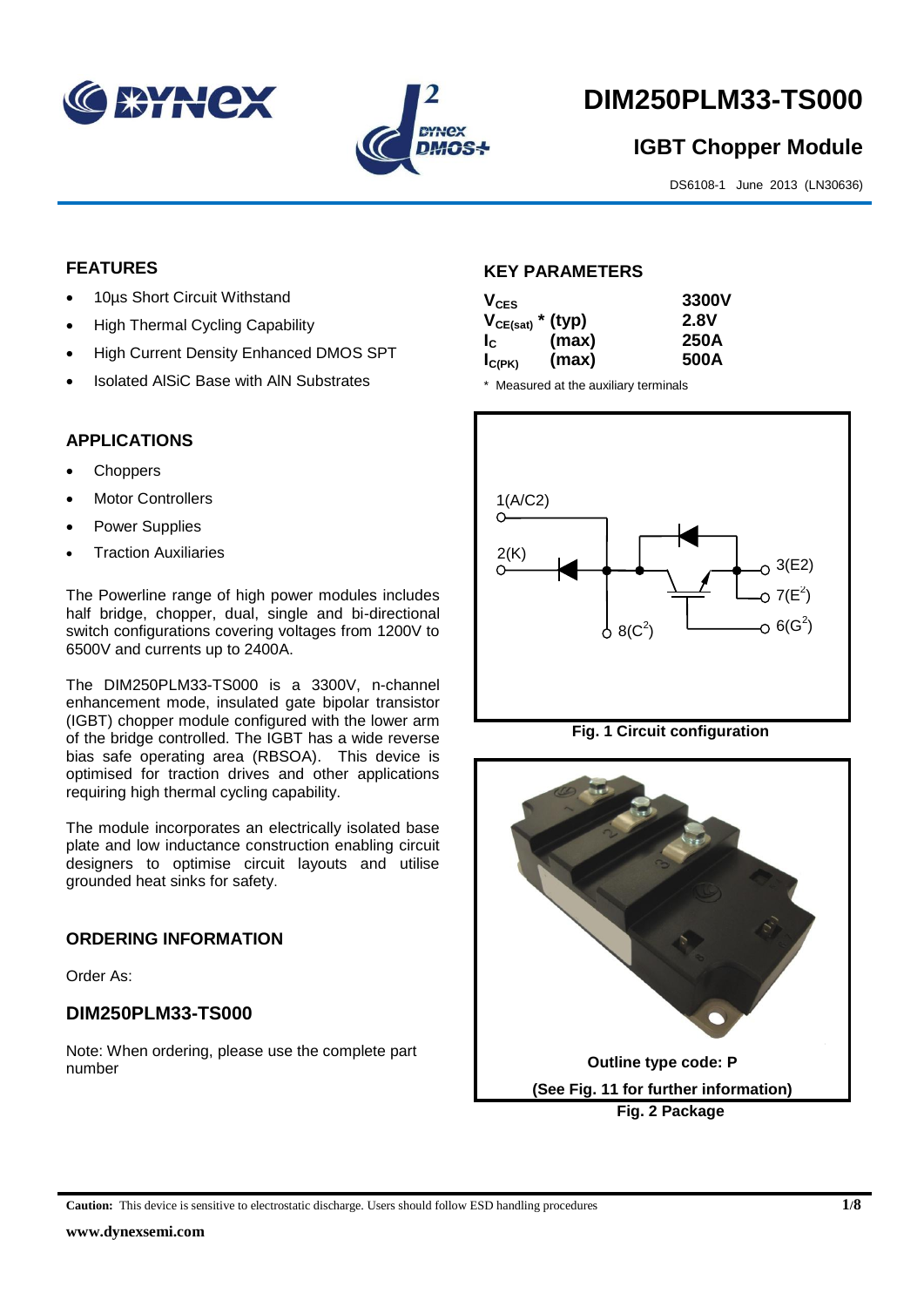



# **DIM250PLM33-TS000**

# **IGBT Chopper Module**

DS6108-1 June 2013 (LN30636)

## **FEATURES**

- 10µs Short Circuit Withstand
- High Thermal Cycling Capability
- High Current Density Enhanced DMOS SPT
- Isolated AlSiC Base with AlN Substrates

## **APPLICATIONS**

- **Choppers**
- Motor Controllers
- Power Supplies
- Traction Auxiliaries

The Powerline range of high power modules includes half bridge, chopper, dual, single and bi-directional switch configurations covering voltages from 1200V to 6500V and currents up to 2400A.

The DIM250PLM33-TS000 is a 3300V, n-channel enhancement mode, insulated gate bipolar transistor (IGBT) chopper module configured with the lower arm of the bridge controlled. The IGBT has a wide reverse bias safe operating area (RBSOA). This device is optimised for traction drives and other applications requiring high thermal cycling capability.

The module incorporates an electrically isolated base plate and low inductance construction enabling circuit designers to optimise circuit layouts and utilise grounded heat sinks for safety.

#### **ORDERING INFORMATION**

Order As:

#### **DIM250PLM33-TS000**

Note: When ordering, please use the complete part number

#### **KEY PARAMETERS**

| $V_{CES}$             |       | 3300V |
|-----------------------|-------|-------|
| $V_{CE(sat)}$ * (typ) |       | 2.8V  |
| $I_{\rm c}$           | (max) | 250A  |
| $I_{C(PK)}$           | (max) | 500A  |

\* Measured at the auxiliary terminals



**Fig. 1 Circuit configuration**

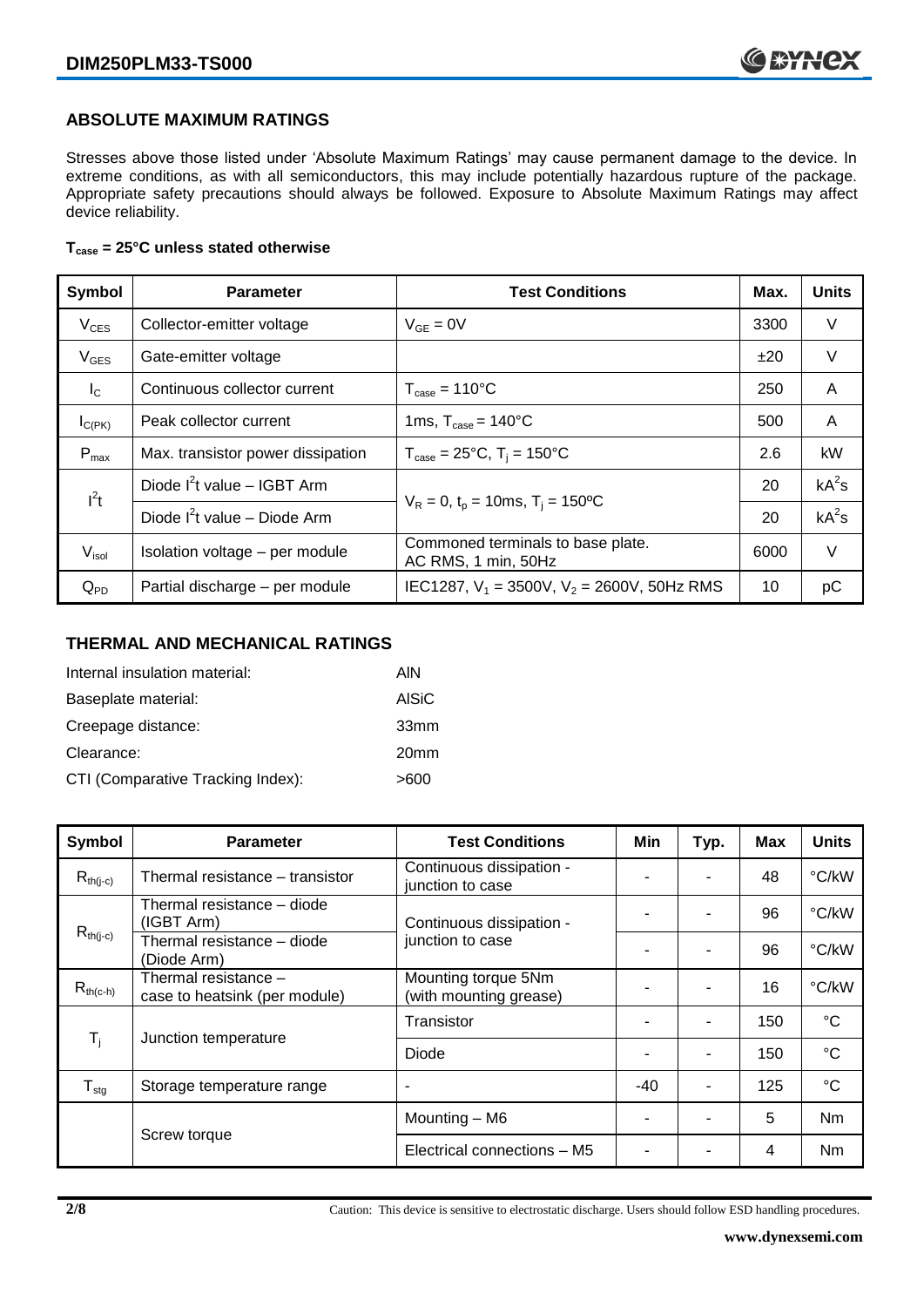#### **ABSOLUTE MAXIMUM RATINGS**

Stresses above those listed under 'Absolute Maximum Ratings' may cause permanent damage to the device. In extreme conditions, as with all semiconductors, this may include potentially hazardous rupture of the package. Appropriate safety precautions should always be followed. Exposure to Absolute Maximum Ratings may affect device reliability.

#### **Tcase = 25°C unless stated otherwise**

| Symbol           | <b>Parameter</b>                  | <b>Test Conditions</b>                                   | Max. | <b>Units</b> |
|------------------|-----------------------------------|----------------------------------------------------------|------|--------------|
| $V_{CES}$        | Collector-emitter voltage         | $V_{GE} = 0V$                                            | 3300 | V            |
| $V_{GES}$        | Gate-emitter voltage              |                                                          | ±20  | $\vee$       |
| $I_{\rm C}$      | Continuous collector current      | $T_{\text{case}} = 110^{\circ}C$                         | 250  | A            |
| $I_{C(PK)}$      | Peak collector current            | 1ms, $T_{\text{case}} = 140^{\circ}$ C                   | 500  | A            |
| $P_{\text{max}}$ | Max. transistor power dissipation | $T_{\text{case}} = 25^{\circ}C$ , $T_i = 150^{\circ}C$   | 2.6  | kW           |
| $l^2t$           | Diode $I^2$ t value - IGBT Arm    | $V_R = 0$ , $t_p = 10$ ms, $T_i = 150$ <sup>o</sup> C    |      | $kA^2s$      |
|                  | Diode $I^2t$ value – Diode Arm    |                                                          |      | $kA^2s$      |
| $V_{\sf isol}$   | Isolation voltage - per module    | Commoned terminals to base plate.<br>AC RMS, 1 min, 50Hz | 6000 | V            |
| $Q_{PD}$         | Partial discharge - per module    | IEC1287, $V_1 = 3500V$ , $V_2 = 2600V$ , 50Hz RMS        | 10   | рC           |

## **THERMAL AND MECHANICAL RATINGS**

| Internal insulation material:     | AIN              |
|-----------------------------------|------------------|
| Baseplate material:               | AISiC            |
| Creepage distance:                | 33mm             |
| Clearance:                        | 20 <sub>mm</sub> |
| CTI (Comparative Tracking Index): | >600             |

| Symbol                    | <b>Parameter</b>                                      | <b>Test Conditions</b>                        | Min   | Typ.           | Max | <b>Units</b> |
|---------------------------|-------------------------------------------------------|-----------------------------------------------|-------|----------------|-----|--------------|
| $R_{th(j-c)}$             | Thermal resistance - transistor                       | Continuous dissipation -<br>junction to case  |       | ۰              | 48  | °C/kW        |
|                           | Thermal resistance – diode<br>(IGBT Arm)              | Continuous dissipation -<br>junction to case  |       |                | 96  | °C/kW        |
| $R_{th(j-c)}$             | Thermal resistance - diode<br>(Diode Arm)             |                                               |       | $\blacksquare$ | 96  | °C/kW        |
| $R_{th(c-h)}$             | Thermal resistance -<br>case to heatsink (per module) | Mounting torque 5Nm<br>(with mounting grease) |       | $\blacksquare$ | 16  | °C/kW        |
| $\mathsf{T}_{\mathsf{i}}$ | Junction temperature                                  | Transistor                                    |       | $\blacksquare$ | 150 | °C           |
|                           |                                                       | Diode                                         |       |                | 150 | °C           |
| $T_{\text{stg}}$          | Storage temperature range                             | ٠                                             | $-40$ | $\blacksquare$ | 125 | $^{\circ}C$  |
|                           | Screw torque                                          | Mounting - M6                                 |       |                | 5   | Nm           |
|                           |                                                       | Electrical connections - M5                   |       |                | 4   | Nm           |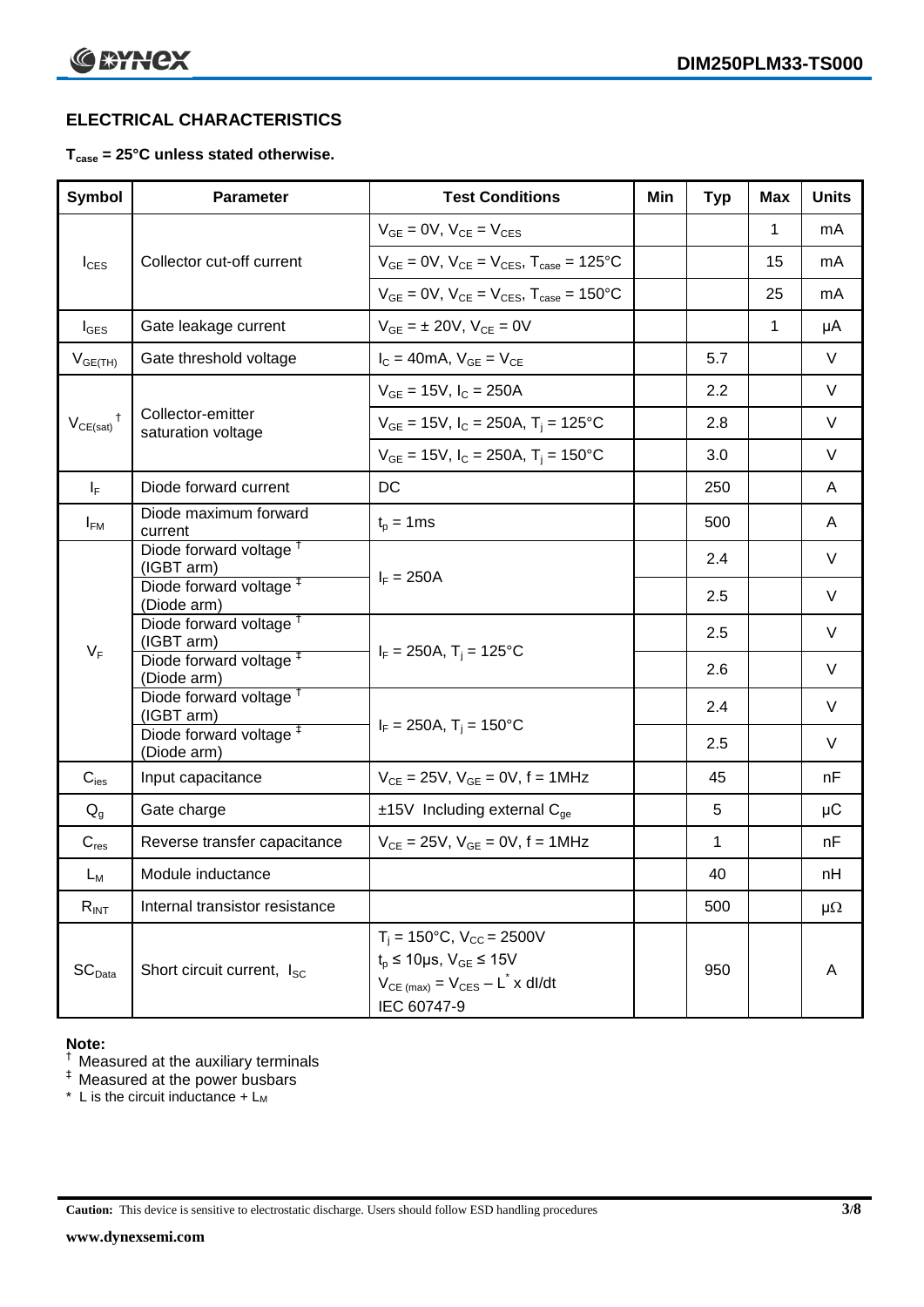# **ELECTRICAL CHARACTERISTICS**

#### **Tcase = 25°C unless stated otherwise.**

| <b>Symbol</b>            | <b>Parameter</b>                                  | <b>Test Conditions</b>                                                                                                                                            | Min | <b>Typ</b> | <b>Max</b>  | <b>Units</b> |
|--------------------------|---------------------------------------------------|-------------------------------------------------------------------------------------------------------------------------------------------------------------------|-----|------------|-------------|--------------|
|                          |                                                   | $V_{GE} = 0V$ , $V_{CE} = V_{CES}$                                                                                                                                |     |            | 1           | mA           |
| $I_{\text{CES}}$         | Collector cut-off current                         | $V_{GF} = 0V$ , $V_{CF} = V_{CFS}$ , $T_{case} = 125^{\circ}C$                                                                                                    |     |            | 15          | mA           |
|                          |                                                   | $V_{GE}$ = 0V, $V_{CE}$ = $V_{CES}$ , $T_{case}$ = 150°C                                                                                                          |     |            | 25          | mA           |
| $I_{\text{GES}}$         | Gate leakage current                              | $V_{GE} = \pm 20V$ , $V_{CE} = 0V$                                                                                                                                |     |            | $\mathbf 1$ | μA           |
| $V_{GE(TH)}$             | Gate threshold voltage                            | $I_C = 40mA$ , $V_{GE} = V_{CE}$                                                                                                                                  |     | 5.7        |             | V            |
|                          |                                                   | $V_{GE}$ = 15V, $I_C$ = 250A                                                                                                                                      |     | 2.2        |             | V            |
| $V_{CE(sat)}$ $^\dagger$ | Collector-emitter<br>saturation voltage           | $V_{GE}$ = 15V, $I_C$ = 250A, T <sub>i</sub> = 125°C                                                                                                              |     | 2.8        |             | V            |
|                          |                                                   | $V_{GE}$ = 15V, $I_C$ = 250A, $T_i$ = 150°C                                                                                                                       |     | 3.0        |             | V            |
| $\mathsf{I}_\mathsf{F}$  | Diode forward current                             | <b>DC</b>                                                                                                                                                         |     | 250        |             | A            |
| $I_{FM}$                 | Diode maximum forward<br>current                  | $t_p = 1$ ms                                                                                                                                                      |     | 500        |             | A            |
|                          | Diode forward voltage <sup>t</sup><br>(IGBT arm)  |                                                                                                                                                                   |     | 2.4        |             | V            |
|                          | Diode forward voltage <sup>#</sup><br>(Diode arm) | $I_F = 250A$                                                                                                                                                      |     | 2.5        |             | V            |
|                          | Diode forward voltage <sup>T</sup><br>(IGBT arm)  |                                                                                                                                                                   |     | 2.5        |             | V            |
| $V_F$                    | Diode forward voltage <sup>#</sup><br>(Diode arm) | $I_F = 250A$ , T <sub>i</sub> = 125°C                                                                                                                             |     | 2.6        |             | V            |
|                          | Diode forward voltage <sup>†</sup><br>(IGBT arm)  |                                                                                                                                                                   |     | 2.4        |             | V            |
|                          | Diode forward voltage <sup>#</sup><br>(Diode arm) | $I_F = 250A$ , T <sub>i</sub> = 150°C                                                                                                                             |     | 2.5        |             | V            |
| $C_{\mathsf{ies}}$       | Input capacitance                                 | $V_{CE} = 25V$ , $V_{GE} = 0V$ , $f = 1MHz$                                                                                                                       |     | 45         |             | nF           |
| $Q_q$                    | Gate charge                                       | $±15V$ Including external C <sub>ge</sub>                                                                                                                         |     | 5          |             | μC           |
| $C_{res}$                | Reverse transfer capacitance                      | $V_{CE} = 25V$ , $V_{GE} = 0V$ , f = 1MHz                                                                                                                         |     | 1          |             | nF           |
| $L_M$                    | Module inductance                                 |                                                                                                                                                                   |     | 40         |             | nH           |
| $R_{INT}$                | Internal transistor resistance                    |                                                                                                                                                                   |     | 500        |             | $\mu\Omega$  |
| SC <sub>Data</sub>       | Short circuit current, I <sub>SC</sub>            | $T_i = 150^{\circ}C$ , $V_{CC} = 2500V$<br>$t_p \le 10 \mu s$ , $V_{GE} \le 15V$<br>$V_{CE \text{ (max)}} = V_{CES} - L^{\dagger} x \text{ dI/dt}$<br>IEC 60747-9 |     | 950        |             | Α            |

#### **Note:**

 $<sup>†</sup>$  Measured at the auxiliary terminals</sup>

 $<sup>‡</sup>$  Measured at the power busbars</sup>

\* L is the circuit inductance  $+ L<sub>M</sub>$ 

**Caution:** This device is sensitive to electrostatic discharge. Users should follow ESD handling procedures **3/8**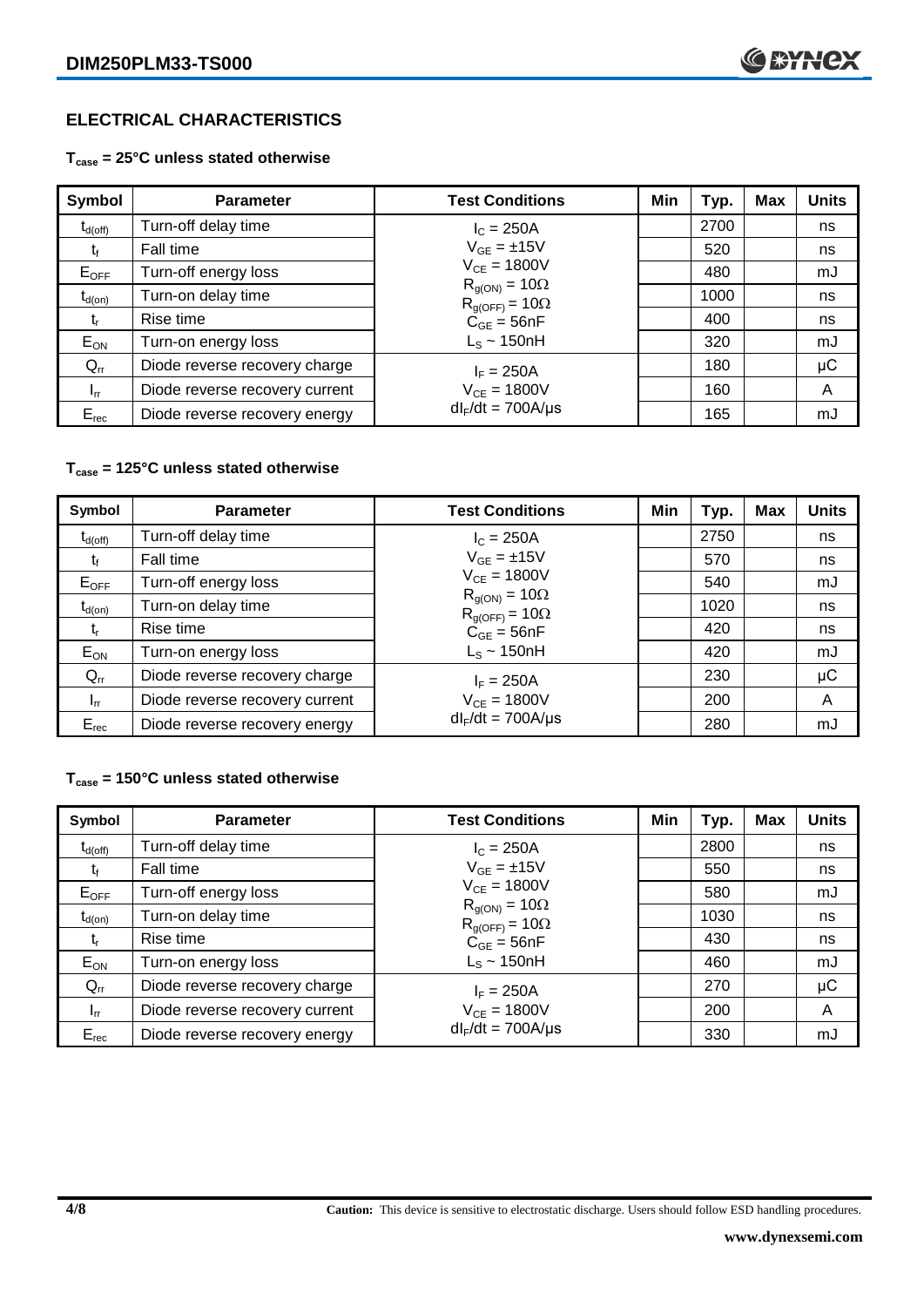# **ELECTRICAL CHARACTERISTICS**

#### **Tcase = 25°C unless stated otherwise**

| Symbol              | <b>Parameter</b>               | <b>Test Conditions</b>                            | Min | Typ. | <b>Max</b> | <b>Units</b> |
|---------------------|--------------------------------|---------------------------------------------------|-----|------|------------|--------------|
| $t_{d(\text{off})}$ | Turn-off delay time            | $I_c = 250A$                                      |     | 2700 |            | ns           |
| t                   | Fall time                      | $V_{GF} = \pm 15V$                                |     | 520  |            | ns           |
| $E_{OFF}$           | Turn-off energy loss           | $V_{CE} = 1800V$                                  |     | 480  |            | mJ           |
| $t_{d(on)}$         | Turn-on delay time             | $R_{q(ON)} = 10\Omega$<br>$R_{g(OFF)} = 10\Omega$ |     | 1000 |            | ns           |
| t,                  | Rise time                      | $C_{GE} = 56nF$                                   |     | 400  |            | ns           |
| $E_{ON}$            | Turn-on energy loss            | $L_s \sim 150$ nH                                 |     | 320  |            | mJ           |
| $Q_{rr}$            | Diode reverse recovery charge  | $I_F = 250A$                                      |     | 180  |            | $\mu$ C      |
| $I_{rr}$            | Diode reverse recovery current | $V_{CE} = 1800V$                                  |     | 160  |            | A            |
| $E_{rec}$           | Diode reverse recovery energy  | $dl_F/dt = 700A/\mu s$                            |     | 165  |            | mJ           |

#### **Tcase = 125°C unless stated otherwise**

| Symbol              | <b>Parameter</b>               | <b>Test Conditions</b>                            | Min | Typ. | Max | <b>Units</b> |
|---------------------|--------------------------------|---------------------------------------------------|-----|------|-----|--------------|
| $t_{d(\text{off})}$ | Turn-off delay time            | $I_c = 250A$                                      |     | 2750 |     | ns           |
|                     | Fall time                      | $V_{GE} = \pm 15V$                                |     | 570  |     | ns           |
| $E_{OFF}$           | Turn-off energy loss           | $V_{CE} = 1800V$                                  |     | 540  |     | mJ           |
| $t_{d(on)}$         | Turn-on delay time             | $R_{g(ON)} = 10\Omega$<br>$R_{g(OFF)} = 10\Omega$ |     | 1020 |     | ns           |
| t,                  | Rise time                      | $C_{GE} = 56nF$                                   |     | 420  |     | ns           |
| $E_{ON}$            | Turn-on energy loss            | $L_s \sim 150$ nH                                 |     | 420  |     | mJ           |
| $Q_{rr}$            | Diode reverse recovery charge  | $I_F = 250A$                                      |     | 230  |     | μC           |
| $I_{rr}$            | Diode reverse recovery current | $V_{CE} = 1800V$                                  |     | 200  |     | A            |
| $E_{rec}$           | Diode reverse recovery energy  | $dl_F/dt = 700A/\mu s$                            |     | 280  |     | mJ           |

#### **Tcase = 150°C unless stated otherwise**

| Symbol              | <b>Parameter</b>               | <b>Test Conditions</b>                            | Min | Typ. | <b>Max</b> | <b>Units</b> |
|---------------------|--------------------------------|---------------------------------------------------|-----|------|------------|--------------|
| $t_{d(\text{off})}$ | Turn-off delay time            | $I_{C} = 250A$                                    |     | 2800 |            | ns           |
| tŕ                  | Fall time                      | $V_{GF} = \pm 15V$                                |     | 550  |            | ns           |
| $E_{OFF}$           | Turn-off energy loss           | $V_{CF} = 1800V$                                  |     | 580  |            | mJ           |
| $t_{d(on)}$         | Turn-on delay time             | $R_{g(ON)} = 10\Omega$<br>$R_{g(OFF)} = 10\Omega$ |     | 1030 |            | ns           |
| t,                  | Rise time                      | $C_{GE} = 56nF$                                   |     | 430  |            | ns           |
| $E_{ON}$            | Turn-on energy loss            | $L_s \sim 150$ nH                                 |     | 460  |            | mJ           |
| $Q_{rr}$            | Diode reverse recovery charge  | $I_F = 250A$                                      |     | 270  |            | μC           |
| $I_{rr}$            | Diode reverse recovery current | $V_{CE} = 1800V$                                  |     | 200  |            | A            |
| $E_{rec}$           | Diode reverse recovery energy  | $dl_F/dt = 700A/\mu s$                            |     | 330  |            | mJ           |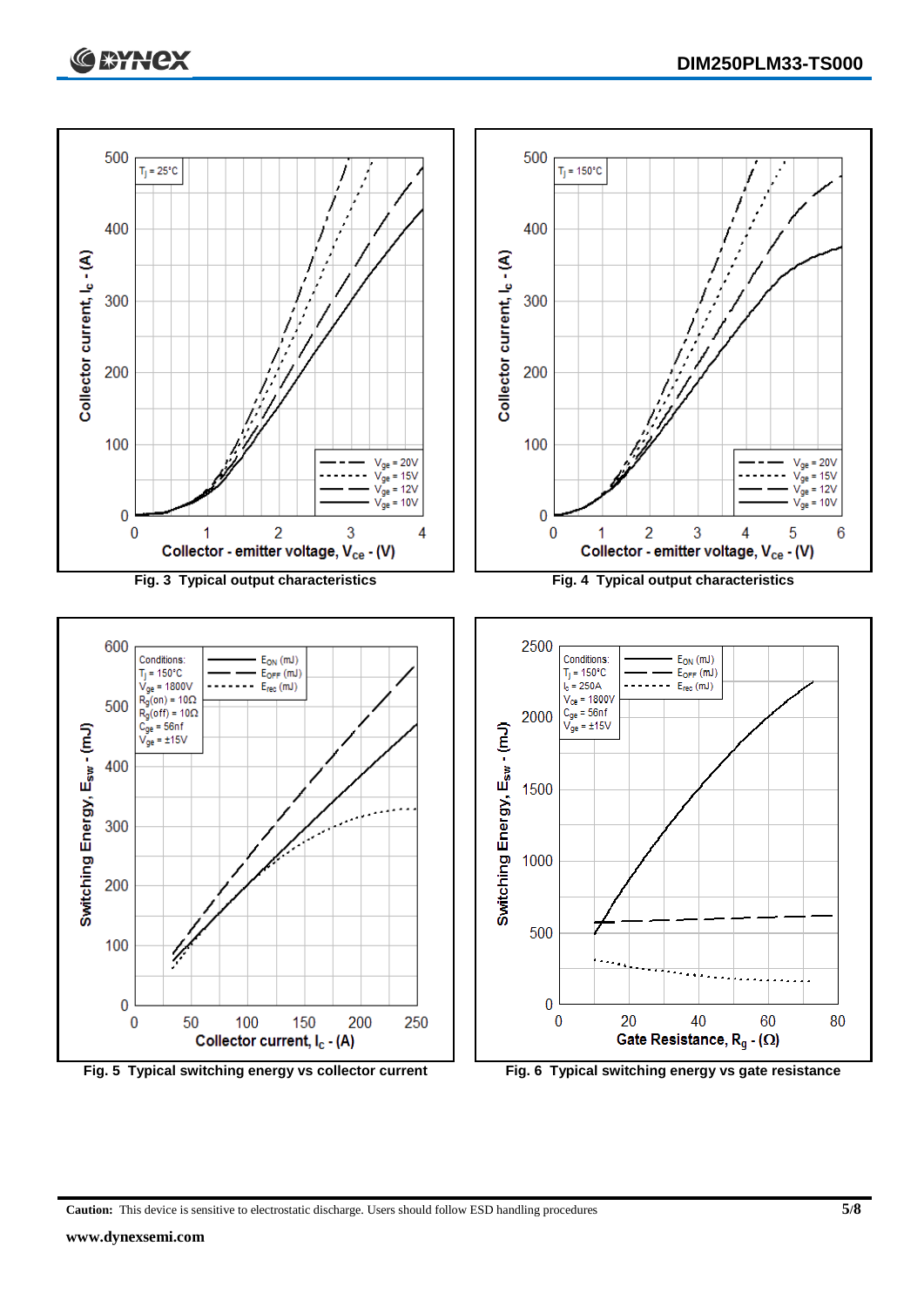



**Caution:** This device is sensitive to electrostatic discharge. Users should follow ESD handling procedures **5/8**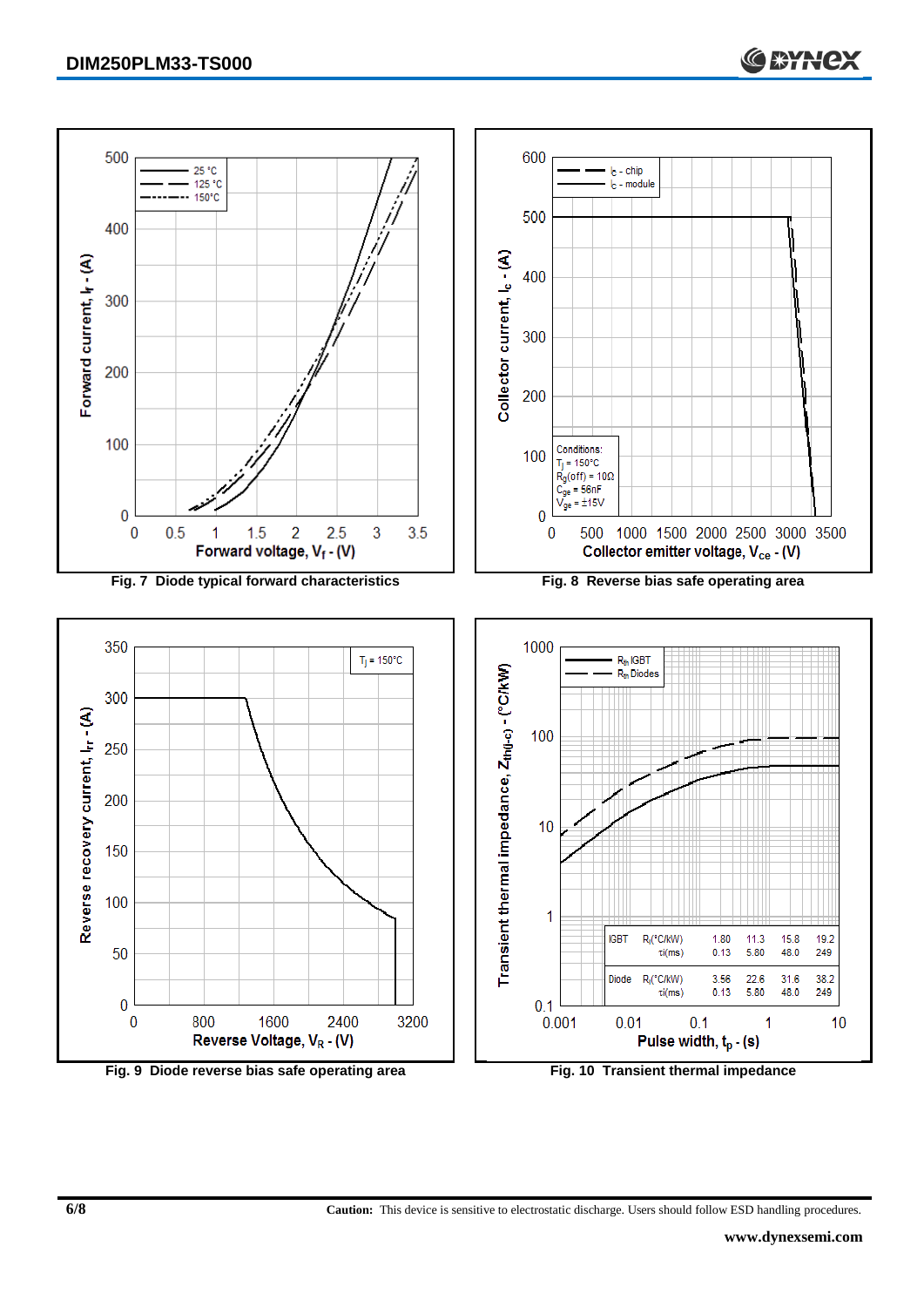

**Fig. 9 Diode reverse bias safe operating area Fig. 10 Transient thermal impedance**

**6/8 Caution:** This device is sensitive to electrostatic discharge. Users should follow ESD handling procedures.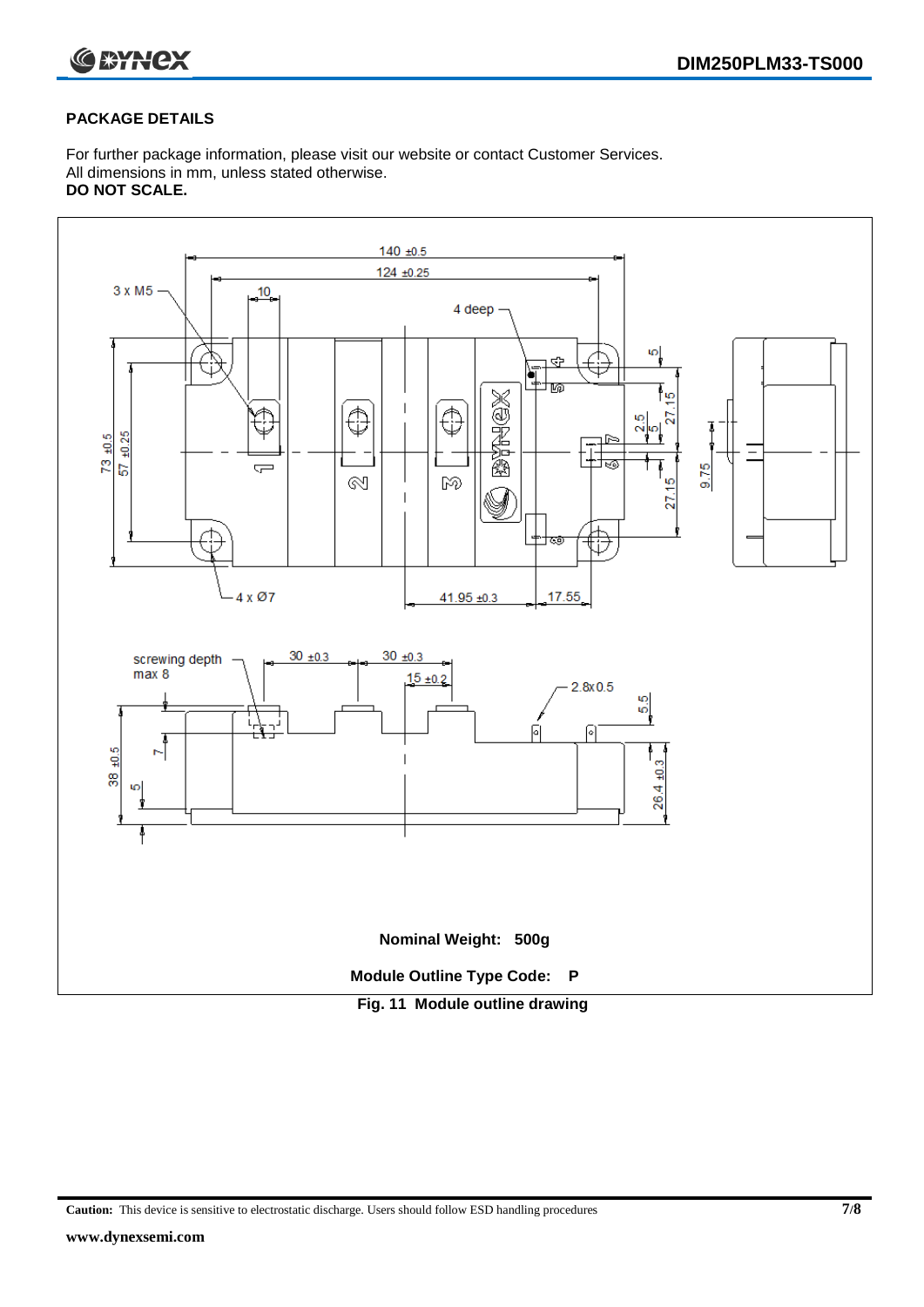

#### **PACKAGE DETAILS**

For further package information, please visit our website or contact Customer Services. All dimensions in mm, unless stated otherwise. **DO NOT SCALE.**



**Caution:** This device is sensitive to electrostatic discharge. Users should follow ESD handling procedures **7/8**